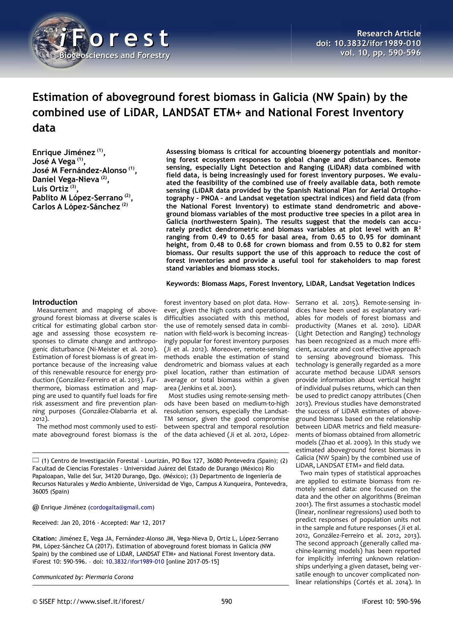

# **Estimation of aboveground forest biomass in Galicia (NW Spain) by the combined use of LiDAR, LANDSAT ETM+ and National Forest Inventory data**

**Enrique Jiménez (1) , José A Vega (1) , José M Fernández-Alonso (1) , Daniel Vega-Nieva (2) , Luis Ortiz (3) , Pablito M López-Serrano (2) , Carlos A López-Sánchez (2)**

**Assessing biomass is critical for accounting bioenergy potentials and monitoring forest ecosystem responses to global change and disturbances. Remote sensing, especially Light Detection and Ranging (LiDAR) data combined with field data, is being increasingly used for forest inventory purposes. We evaluated the feasibility of the combined use of freely available data, both remote sensing (LiDAR data provided by the Spanish National Plan for Aerial Ortophotography – PNOA – and Landsat vegetation spectral indices) and field data (from the National Forest Inventory) to estimate stand dendrometric and aboveground biomass variables of the most productive tree species in a pilot area in Galicia (northwestern Spain). The results suggest that the models can accurately predict dendrometric and biomass variables at plot level with an R<sup>2</sup> ranging from 0.49 to 0.65 for basal area, from 0.65 to 0.95 for dominant height, from 0.48 to 0.68 for crown biomass and from 0.55 to 0.82 for stem biomass. Our results support the use of this approach to reduce the cost of forest inventories and provide a useful tool for stakeholders to map forest stand variables and biomass stocks.**

**Keywords: Biomass Maps, Forest Inventory, LiDAR, Landsat Vegetation Indices**

## **Introduction**

Measurement and mapping of aboveground forest biomass at diverse scales is critical for estimating global carbon storage and assessing those ecosystem responses to climate change and anthropogenic disturbance (Ni-Meister et al. 2010). Estimation of forest biomass is of great importance because of the increasing value of this renewable resource for energy production (González-Ferreiro et al. 2013). Furthermore, biomass estimation and mapping are used to quantify fuel loads for fire risk assessment and fire prevention planning purposes (González-Olabarria et al. 2012).

The method most commonly used to estimate aboveground forest biomass is the

forest inventory based on plot data. However, given the high costs and operational difficulties associated with this method, the use of remotely sensed data in combination with field-work is becoming increasingly popular for forest inventory purposes (Ji et al. 2012). Moreover, remote-sensing methods enable the estimation of stand dendrometric and biomass values at each pixel location, rather than estimation of average or total biomass within a given area (Jenkins et al. 2001).

Most studies using remote-sensing methods have been based on medium-to-high resolution sensors, especially the Landsat-TM sensor, given the good compromise between spectral and temporal resolution of the data achieved (Ji et al. 2012, López-

 $\Box$  (1) Centro de Investigación Forestal - Lourizán, PO Box 127, 36080 Pontevedra (Spain); (2) Facultad de Ciencias Forestales - Universidad Juárez del Estado de Durango (México) Río Papaloapan, Valle del Sur, 34120 Durango, Dgo. (México); (3) Departmento de Ingeniería de Recursos Naturales y Medio Ambiente, Universidad de Vigo, Campus A Xunqueira, Pontevedra, 36005 (Spain)

@ Enrique Jiménez [\(cordogaita@gmail.com\)](mailto:cordogaita@gmail.com)

Received: Jan 20, 2016 - Accepted: Mar 12, 2017

**Citation:** Jiménez E, Vega JA, Fernández-Alonso JM, Vega-Nieva D, Ortiz L, López-Serrano PM, López-Sánchez CA (2017). Estimation of aboveground forest biomass in Galicia (NW Spain) by the combined use of LiDAR, LANDSAT ETM+ and National Forest Inventory data. iForest 10: 590-596. – doi: [10.3832/ifor1989-010](http://www.sisef.it/iforest/contents/?id=ifor1989-010) [online 2017-05-15]

*Communicated by: Piermaria Corona*

Serrano et al. 2015). Remote-sensing indices have been used as explanatory variables for models of forest biomass and productivity (Manes et al. 2010). LiDAR (Light Detection and Ranging) technology has been recognized as a much more efficient, accurate and cost effective approach to sensing aboveground biomass. This technology is generally regarded as a more accurate method because LiDAR sensors provide information about vertical height of individual pulses returns, which can then be used to predict canopy attributes (Chen 2013). Previous studies have demonstrated the success of LiDAR estimates of aboveground biomass based on the relationship between LiDAR metrics and field measurements of biomass obtained from allometric models (Zhao et al. 2009). In this study we estimated aboveground forest biomass in Galicia (NW Spain) by the combined use of LiDAR, LANDSAT ETM+ and field data.

Two main types of statistical approaches are applied to estimate biomass from remotely sensed data: one focused on the data and the other on algorithms (Breiman 2001). The first assumes a stochastic model (linear, nonlinear regressions) used both to predict responses of population units not in the sample and future responses (Ji et al. 2012, González-Ferreiro et al. 2012, 2013). The second approach (generally called machine-learning models) has been reported for implicitly inferring unknown relationships underlying a given dataset, being versatile enough to uncover complicated nonlinear relationships (Cortés et al. 2014). In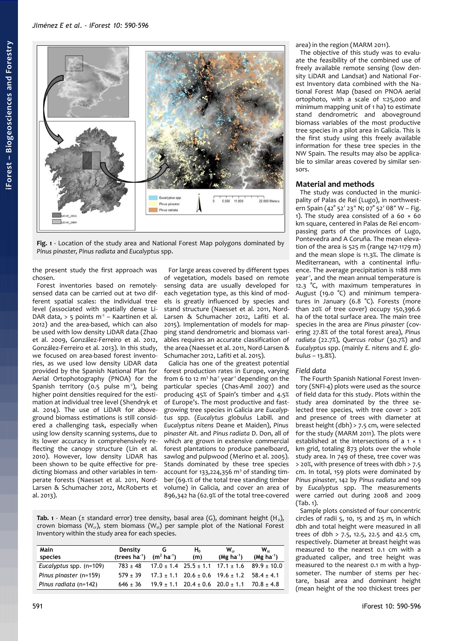

<span id="page-1-0"></span>**Fig. 1** - Location of the study area and National Forest Map polygons dominated by *Pinus pinaster, Pinus radiata* and *Eucalyptus* spp.

the present study the first approach was chosen.

Forest inventories based on remotelysensed data can be carried out at two different spatial scales: the individual tree level (associated with spatially dense Li-DAR data,  $> 5$  points m<sup>2</sup> - Kaartinen et al. 2012) and the area-based, which can also be used with low density LiDAR data (Zhao et al. 2009, González-Ferreiro et al. 2012, González-Ferreiro et al. 2013). In this study, we focused on area-based forest inventories, as we used low density LiDAR data provided by the Spanish National Plan for Aerial Ortophotography (PNOA) for the Spanish territory (0.5 pulse  $m^2$ ), being higher point densities required for the estimation at individual tree level (Shendryk et al. 2014). The use of LiDAR for aboveground biomass estimations is still considered a challenging task, especially when using low density scanning systems, due to its lower accuracy in comprehensively reflecting the canopy structure (Lin et al. 2010). However, low density LiDAR has been shown to be quite effective for predicting biomass and other variables in temperate forests (Naesset et al. 2011, Nord-Larsen & Schumacher 2012, McRoberts et al. 2013).

For large areas covered by different types of vegetation, models based on remote sensing data are usually developed for each vegetation type, as this kind of models is greatly influenced by species and stand structure (Naesset et al. 2011, Nord-Larsen & Schumacher 2012, Lafiti et al. 2015). Implementation of models for mapping stand dendrometric and biomass variables requires an accurate classification of the area (Naesset et al. 2011, Nord-Larsen & Schumacher 2012, Lafiti et al. 2015).

Galicia has one of the greatest potential forest production rates in Europe, varying from 6 to 12  $m<sup>3</sup>$  ha<sup>-1</sup> year<sup>-1</sup> depending on the particular species (Chas-Amil 2007) and producing 45% of Spain's timber and 4.5% of Europe's. The most productive and fastgrowing tree species in Galicia are *Eucalyptus* spp. (*Eucalytus globulus* Labill. and *Eucalyptus nitens* Deane et Maiden), *Pinus pinaster* Ait. and *Pinus radiata* D. Don, all of which are grown in extensive commercial forest plantations to produce panelboard, sawlog and pulpwood (Merino et al. 2005). Stands dominated by these tree species account for  $133,224,356$  m<sup>3</sup> of standing timber (69.1% of the total tree standing timber volume) in Galicia, and cover an area of 896,342 ha (62.9% of the total tree-covered

<span id="page-1-1"></span>**Tab.** 1 - Mean ( $\pm$  standard error) tree density, basal area (G), dominant height (H<sub>0</sub>), crown biomass ( $W_{cr}$ ), stem biomass ( $W_{st}$ ) per sample plot of the National Forest Inventory within the study area for each species.

| Main<br>species         | Density<br>(trees $ha^{-1}$ ) | G<br>$(m^2 \text{ ha}^{-1})$ | H <sub>o</sub><br>(m) | $W_{cr}$<br>$(Mg \text{ ha}^{-1})$                          | $W_{st}$<br>$(Mg ha-1)$                                      |
|-------------------------|-------------------------------|------------------------------|-----------------------|-------------------------------------------------------------|--------------------------------------------------------------|
| Eucalyptus spp. (n=109) | $783 \pm 48$                  |                              |                       |                                                             | $17.0 \pm 1.4$ $25.5 \pm 1.1$ $17.1 \pm 1.6$ $89.9 \pm 10.0$ |
| Pinus pinaster (n=159)  | $579 + 39$                    |                              |                       | $17.3 \pm 1.1$ $20.6 \pm 0.6$ $19.6 \pm 1.2$ $58.4 \pm 4.1$ |                                                              |
| Pinus radiata (n=142)   | $646 \pm 36$                  |                              |                       | $19.9 \pm 1.1$ 20.4 $\pm$ 0.6 20.0 $\pm$ 1.1 70.8 $\pm$ 4.8 |                                                              |

area) in the region (MARM 2011).

The objective of this study was to evaluate the feasibility of the combined use of freely available remote sensing (low density LiDAR and Landsat) and National Forest Inventory data combined with the National Forest Map (based on PNOA aerial ortophoto, with a scale of 1:25,000 and minimum mapping unit of 1 ha) to estimate stand dendrometric and aboveground biomass variables of the most productive tree species in a pilot area in Galicia. This is the first study using this freely available information for these tree species in the NW Spain. The results may also be applicable to similar areas covered by similar sensors.

## **Material and methods**

The study was conducted in the municipality of Palas de Rei (Lugo), in northwestern Spain (42° 52' 23" N;  $07^{\circ}$  52' 08" W – [Fig.](#page-1-0) [1\)](#page-1-0). The study area consisted of a 60  $\times$  60 km square, centered in Palas de Rei encompassing parts of the provinces of Lugo, Pontevedra and A Coruña. The mean elevation of the area is 525 m (range 147-1179 m) and the mean slope is 11.3%. The climate is Mediterranean, with a continental influence. The average precipitation is 1188 mm year<sup>1</sup>, and the mean annual temperature is 12.3 °C, with maximum temperatures in August (19.0 °C) and minimum temperatures in January (6.8 °C). Forests (more than 20% of tree cover) occupy 150,396.6 ha of the total surface area. The main tree species in the area are *Pinus pinaster* (covering 27.8% of the total forest area), *Pinus radiata* (22.7%), *Quercus robur* (30.7%) and *Eucalyptu*s spp. (mainly *E. nitens* and *E. globulus* – 13.8%).

## *Field data*

The Fourth Spanish National Forest Inventory (SNFI-4) plots were used as the source of field data for this study. Plots within the study area dominated by the three selected tree species, with tree cover > 20% and presence of trees with diameter at breast height (dbh) > 7.5 cm, were selected for the study (MARM 2011). The plots were established at the intersections of a 1 × 1 km grid, totaling 873 plots over the whole study area. In 749 of these, tree cover was > 20%, with presence of trees with dbh > 7.5 cm. In total, 159 plots were dominated by *Pinus pinaster*, 142 by *Pinus radiata* and 109 by *Eucalyptus* spp. The measurements were carried out during 2008 and 2009 [\(Tab. 1\)](#page-1-1).

Sample plots consisted of four concentric circles of radii 5, 10, 15 and 25 m, in which dbh and total height were measured in all trees of dbh > 7.5, 12.5, 22.5 and 42.5 cm, respectively. Diameter at breast height was measured to the nearest 0.1 cm with a graduated caliper, and tree height was measured to the nearest 0.1 m with a hypsometer. The number of stems per hectare, basal area and dominant height (mean height of the 100 thickest trees per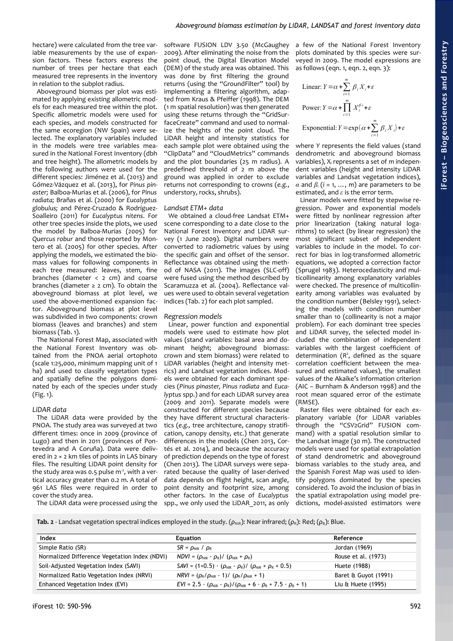hectare) were calculated from the tree variable measurements by the use of expansion factors. These factors express the number of trees per hectare that each measured tree represents in the inventory in relation to the subplot radius.

Aboveground biomass per plot was estimated by applying existing allometric models for each measured tree within the plot. Specific allometric models were used for each species, and models constructed for the same ecoregion (NW Spain) were selected. The explanatory variables included in the models were tree variables measured in the National Forest Inventory (dbh and tree height). The allometric models by the following authors were used for the different species: Jiménez et al. (2013) and Gómez-Vázquez et al. (2013), for *Pinus pinaster;* Balboa-Murias et al. (2006), for *Pinus radiata;* Brañas et al. (2000) for *Eucalyptus globulus;* and Pérez-Cruzado & Rodríguez-Soalleiro (2011) for *Eucalyptus nitens*. For other tree species inside the plots, we used the model by Balboa-Murias (2005) for *Quercus robur* and those reported by Montero et al. (2005) for other species. After applying the models, we estimated the biomass values for following components in each tree measured: leaves, stem, fine branches (diameter < 2 cm) and coarse branches (diameter  $\geq$  2 cm). To obtain the aboveground biomass at plot level, we used the above-mentioned expansion factor. Aboveground biomass at plot level was subdivided in two components: crown biomass (leaves and branches) and stem biomass [\(Tab. 1\)](#page-1-1).

The National Forest Map, associated with the National Forest Inventory was obtained from the PNOA aerial ortophoto (scale 1:25,000, minimum mapping unit of 1 ha) and used to classify vegetation types and spatially define the polygons dominated by each of the species under study [\(Fig. 1\)](#page-1-0).

### *LiDAR data*

The LiDAR data were provided by the PNOA. The study area was surveyed at two different times: once in 2009 (province of Lugo) and then in 2011 (provinces of Pontevedra and A Coruña). Data were delivered in 2 × 2 km tiles of points in LAS binary files. The resulting LiDAR point density for the study area was 0.5 pulse  $m<sup>2</sup>$ , with a vertical accuracy greater than 0.2 m. A total of 961 LAS files were required in order to cover the study area.

The LiDAR data were processed using the

software FUSION LDV 3.50 (McGaughey 2009). After eliminating the noise from the point cloud, the Digital Elevation Model (DEM) of the study area was obtained. This was done by first filtering the ground returns (using the "GroundFilter" tool) by implementing a filtering algorithm, adapted from Kraus & Pfeiffer (1998). The DEM (1 m spatial resolution) was then generated using these returns through the "GridSurfaceCreate" command and used to normalize the heights of the point cloud. The LiDAR height and intensity statistics for each sample plot were obtained using the "ClipData" and "CloudMetrics" commands and the plot boundaries (25 m radius). A predefined threshold of 2 m above the ground was applied in order to exclude returns not corresponding to crowns (*e.g.*, understory, rocks, shrubs).

## *Landsat ETM+ data*

We obtained a cloud-free Landsat ETM+ scene corresponding to a date close to the National Forest Inventory and LiDAR survey (1 June 2009). Digital numbers were converted to radiometric values by using the specific gain and offset of the sensor. Reflectance was obtained using the method of NASA (2011). The images (SLC-off) were fused using the method described by Scaramuzza et al. (2004). Reflectance values were used to obtain several vegetation indices [\(Tab. 2\)](#page-2-0) for each plot sampled.

#### *Regression models*

Linear, power function and exponential models were used to estimate how plot values (stand variables: basal area and dominant height; aboveground biomass: crown and stem biomass) were related to LiDAR variables (height and intensity metrics) and Landsat vegetation indices. Models were obtained for each dominant species (*Pinus pinaster, Pinus radiata* and *Eucalyptus* spp.) and for each LiDAR survey area (2009 and 2011). Separate models were constructed for different species because they have different structural characteristics (*e.g.,* tree architecture, canopy stratification, canopy density, etc.) that generate differences in the models (Chen 2013, Cortés et al. 2014), and because the accuracy of prediction depends on the type of forest (Chen 2013). The LiDAR surveys were separated because the quality of laser-derived data depends on flight height, scan angle, point density and footprint size, among other factors. In the case of *Eucalyptus* spp., we only used the LiDAR\_2011, as only

a few of the National Forest Inventory plots dominated by this species were surveyed in 2009. The model expressions are as follows (eqn. 1, eqn. 2, eqn. 3):

Linear: 
$$
Y = \alpha + \sum_{i=1}^{m} \beta_i X_i + \varepsilon
$$
  
Power:  $Y = \alpha + \prod_{i=1}^{m} X_i^{\beta i} + \varepsilon$   
Exponential:  $Y = \exp(\alpha + \sum_{i=1}^{m} \beta_i X_i) + \varepsilon$ 

where *Y* represents the field values (stand dendrometric and aboveground biomass variables), X<sub>i</sub> represents a set of *m* independent variables (height and intensity LiDAR variables and Landsat vegetation indices),  $\alpha$  and  $\beta$ <sub>i</sub> (*i* = 1, ..., *m*) are parameters to be estimated, and *ε* is the error term.

Linear models were fitted by stepwise regression. Power and exponential models were fitted by nonlinear regression after prior linearization (taking natural logarithms) to select (by linear regression) the most significant subset of independent variables to include in the model. To correct for bias in log-transformed allometric equations, we adopted a correction factor (Sprugel 1983). Heterocedasticity and multicollinearity among explanatory variables were checked. The presence of multicollinearity among variables was evaluated by the condition number (Belsley 1991), selecting the models with condition number smaller than 10 (collinearity is not a major problem). For each dominant tree species and LiDAR survey, the selected model included the combination of independent variables with the largest coefficient of determination (*R* 2 , defined as the square correlation coefficient between the measured and estimated values), the smallest values of the Akaike's information criterion (AIC – Burnham & Anderson 1998) and the root mean squared error of the estimate (RMSE).

Raster files were obtained for each explanatory variable (for LiDAR variables through the "CSV2Grid" FUSION command) with a spatial resolution similar to the Landsat image (30 m). The constructed models were used for spatial extrapolation of stand dendrometric and aboveground biomass variables to the study area, and the Spanish Forest Map was used to identify polygons dominated by the species considered. To avoid the inclusion of bias in the spatial extrapolation using model predictions, model-assisted estimators were

<span id="page-2-0"></span>**Tab. 2** - Landsat vegetation spectral indices employed in the study. ( $ρ_{NIR}$ ): Near infrared; ( $ρ_R$ ): Red; ( $ρ_B$ ): Blue.

| Index                                         | <b>Equation</b>                                                                              | Reference            |
|-----------------------------------------------|----------------------------------------------------------------------------------------------|----------------------|
| Simple Ratio (SR)                             | $SR = \rho_{NIR} / \rho_R$                                                                   | Jordan (1969)        |
| Normalized Difference Vegetation Index (NDVI) | $NDVI = (\rho_{NIR} - \rho_R)/(\rho_{NIR} + \rho_R)$                                         | Rouse et al. (1973)  |
| Soil-Adjusted Vegetation Index (SAVI)         | $SAVI = (1+0.5) \cdot (\rho_{NIR} - \rho_R) / (\rho_{NIR} + \rho_R + 0.5)$                   | Huete (1988)         |
| Normalized Ratio Vegetation Index (NRVI)      | $NRVI = (\rho_R/\rho_{NIR} - 1)/(\rho_R/\rho_{NIR} + 1)$                                     | Baret & Guyot (1991) |
| Enhanced Vegetation Index (EVI)               | $EVI = 2.5 \cdot (\rho_{NIR} - \rho_R)/(\rho_{NIR} + 6 \cdot \rho_R + 7.5 \cdot \rho_B + 1)$ | Liu & Huete (1995)   |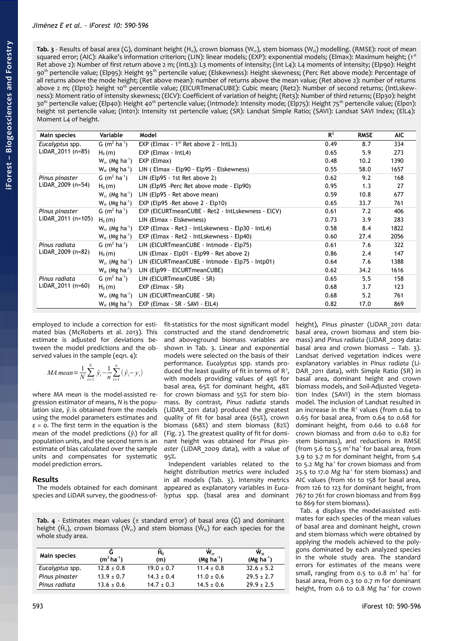<span id="page-3-1"></span>**Tab. 3** - Results of basal area (G), dominant height (H<sub>0</sub>), crown biomass (W<sub>G</sub>), stem biomass (W<sub>st</sub>) modelling. (RMSE): root of mean squared error; (AIC): Akaike's information criterion; (LIN): linear models; (EXP): exponential models; (Elmax): Maximum height; (1<sup>st</sup> Ret above 2): Number of first return above 2 m; (IntL3): L3 moments of intensity; (Int L4): L4 moments of intensity; (Elp90): Height 90<sup>th</sup> pertencile value; (Elp95): Height 95<sup>th</sup> pertencile value; (Elskewness): Height skewness; (Perc Ret above mode): Percentage of all returns above the mode height; (Ret above mean): number of returns above the mean value; (Ret above 2): number of returns above 2 m; (Elp10): height 10<sup>th</sup> percentile value; (ElCURTmenaCUBE): Cubic mean; (Ret2): Number of second returns: (IntLskewness): Moment ratio of intensity skewness; (ElCV): Coefficient of variation of height; (Ret3): Number of third returns; (Elp30): height 30<sup>th</sup> pertencile value; (Elp40): Height 40<sup>th</sup> pertencile value; (Intmode): Intensity mode; (Elp75): Height 75<sup>th</sup> pertencile value; (Elp01): height 1st pertencile value; (Int01): Intensity 1st pertencile value; (SR): Landsat Simple Ratio; (SAVI): Landsat SAVI Index; (ElL4): Moment L4 of height.

| Main species                         | Variable                        | Model                                             | $R^2$ | <b>RMSE</b> | AIC. |
|--------------------------------------|---------------------------------|---------------------------------------------------|-------|-------------|------|
| Eucalyptus spp.                      | G $(m^2 \text{ ha}^1)$          | EXP (Elmax - $1^{st}$ Ret above 2 - IntL3)        | 0.49  | 8.7         | 334  |
| LiDAR_2011 (n=85)                    | $H_0(m)$                        | $EXP$ (Elmax - IntL4)                             | 0.65  | 5.9         | 273  |
|                                      | $W_{cr}$ (Mg ha <sup>-1</sup> ) | EXP (Elmax)                                       | 0.48  | 10.2        | 1390 |
|                                      | $W_{st}$ (Mg ha <sup>-1</sup> ) | LIN (Elmax - Elp90 - Elp95 - Elskewness)          | 0.55  | 58.0        | 1657 |
| Pinus pinaster                       | G $(m^2 \text{ ha}^1)$          | LIN (Elp95 - 1st Ret above 2)                     | 0.62  | 9.2         | 168  |
| LiDAR_2009 (n=54)                    | $H_0(m)$                        | LIN (Elp95 - Perc Ret above mode - Elp90)         | 0.95  | 1.3         | 27   |
|                                      | $W_{cr}$ (Mg ha <sup>-1</sup> ) | LIN (Elp95 - Ret above mean)                      | 0.59  | 10.8        | 677  |
|                                      | $W_{st}$ (Mg ha <sup>-1</sup> ) | EXP (Elp95 - Ret above $2 - E(p10)$ )             | 0.65  | 33.7        | 761  |
| Pinus pinaster<br>LiDAR_2011 (n=105) | G $(m^2 \text{ ha}^{-1})$       | EXP (EICURTmeanCUBE - Ret2 - IntLskewness - EICV) | 0.61  | 7.2         | 406  |
|                                      | $H_0(m)$                        | LIN (Elmax - Elskewness)                          | 0.73  | 3.9         | 283  |
|                                      | $W_{cr}$ (Mg ha <sup>-1</sup> ) | EXP (Elmax - Ret3 - IntLskewness - Elp30 - IntL4) | 0.58  | 8.4         | 1822 |
|                                      | $W_{st}$ (Mg ha <sup>-1</sup> ) | EXP (Elmax - Ret2 - IntLskewness - Elp40)         | 0.60  | 27.4        | 2056 |
| Pinus radiata                        | G $(m^2 \text{ ha}^{-1})$       | LIN (EICURTmeanCUBE - Intmode - Elp75)            | 0.61  | 7.6         | 322  |
| LiDAR_2009 (n=82)                    | $H_0(m)$                        | LIN (Elmax - Elp01 - Elp99 - Ret above 2)         | 0.86  | 2.4         | 147  |
|                                      | $W_{cr}$ (Mg ha <sup>-1</sup> ) | LIN (EICURTmeanCUBE - Intmode - Elp75 - Intp01)   | 0.64  | 7.6         | 1388 |
|                                      | $W_{st}$ (Mg ha <sup>-1</sup> ) | LIN (Elp99 - ElCURTmeanCUBE)                      | 0.62  | 34.2        | 1616 |
| Pinus radiata                        | G $(m^2 \text{ ha}^1)$          | LIN (ElCURTmeanCUBE - SR)                         | 0.65  | 5.5         | 158  |
| LiDAR 2011 (n=60)                    | $H_0(m)$                        | EXP (Elmax - SR)                                  | 0.68  | 3.7         | 123  |
|                                      | $W_{cr}$ (Mg ha <sup>-1</sup> ) | LIN (ElCURTmeanCUBE - SR)                         | 0.68  | 5.2         | 761  |
|                                      | $W_{st}$ (Mg ha <sup>-1</sup> ) | EXP (Elmax - SR - SAVI - ElL4)                    | 0.82  | 17.0        | 869  |

employed to include a correction for estimated bias (McRoberts et al. 2013). This estimate is adjusted for deviations between the model predictions and the observed values in the sample (eqn. 4):

*MA mean* = 
$$
\frac{1}{N} \sum_{i=1}^{N} \hat{y}_i - \frac{1}{n} \sum_{i=1}^{n} (\hat{y}_i - y_i)
$$

where *MA mean* is the model-assisted regression estimator of means, *N* is the population size,  $\hat{y}_i$  is obtained from the models using the model parameters estimates and *ε* = 0. The first term in the equation is the mean of the model predictions (*ŷ*i) for all population units, and the second term is an estimate of bias calculated over the sample units and compensates for systematic model prediction errors.

## **Results**

The models obtained for each dominant species and LiDAR survey, the goodness-offit-statistics for the most significant model constructed and the stand dendrometric and aboveground biomass variables are shown in [Tab. 3.](#page-3-1) Linear and exponential models were selected on the basis of their performance. *Eucalyptus* spp. stands produced the least quality of fit in terms of  $R^2$ , with models providing values of 49% for basal area, 65% for dominant height, 48% for crown biomass and 55% for stem biomass. By contrast, *Pinus radiata* stands (LiDAR\_2011 data) produced the greatest quality of fit for basal area (65%), crown biomass (68%) and stem biomass (82%) [\(Fig. 2\)](#page-4-0). The greatest quality of fit for dominant height was obtained for *Pinus pinaster* (LiDAR\_2009 data), with a value of 95%.

Independent variables related to the height distribution metrics were included in all models [\(Tab. 3\)](#page-3-1). Intensity metrics appeared as explanatory variables in *Eucalyptus* spp. (basal area and dominant

<span id="page-3-0"></span>**Tab. 4** - Estimates mean values ( $\pm$  standard error) of basal area ( $\hat{G}$ ) and dominant height ( $\hat{H}_0$ ), crown biomass ( $\hat{W}_{cr}$ ) and stem biomass ( $\hat{W}_{st}$ ) for each species for the whole study area.

| Main species    | $(m^2 \, ha^{-1})$ | H <sub>o</sub><br>(m) | $\hat{W}_{cr}$<br>$(Mg \; ha^{-1})$ | $\hat{\mathsf{W}}_{\scriptscriptstyle{\text{ct}}}$<br>$(Mg ha-1)$ |
|-----------------|--------------------|-----------------------|-------------------------------------|-------------------------------------------------------------------|
| Eucalyptus spp. | $12.8 \pm 0.8$     | $19.0 \pm 0.7$        | $11.4 \pm 0.8$                      | $32.6 \pm 5.2$                                                    |
| Pinus pinaster  | $13.9 \pm 0.7$     | $14.3 \pm 0.4$        | $11.0 \pm 0.6$                      | $29.5 \pm 2.7$                                                    |
| Pinus radiata   | $13.6 \pm 0.6$     | $14.7 \pm 0.3$        | $14.5 \pm 0.6$                      | $29.9 \pm 2.5$                                                    |

basal area, crown biomass and stem biomass) and *Pinus radiata* (LiDAR\_2009 data: basal area and crown biomass – [Tab. 3\)](#page-3-1). Landsat derived vegetation indices were explanatory variables in *Pinus radiata* (Li-DAR 2011 data), with Simple Ratio (SR) in basal area, dominant height and crown biomass models, and Soil-Adjusted Vegetation Index (SAVI) in the stem biomass model. The inclusion of Landsat resulted in an increase in the  $R<sup>2</sup>$  values (from 0.64 to 0.65 for basal area, from 0.64 to 0.68 for dominant height, from 0.66 to 0.68 for crown biomass and from 0.60 to 0.82 for stem biomass), and reductions in RMSE (from 5.6 to 5.5  $m<sup>2</sup>$  ha<sup>1</sup> for basal area, from 3.9 to 3.7 m for dominant height, from 5.4 to 5.2 Mg ha<sup>1</sup> for crown biomass and from 25.5 to 17.0 Mg ha<sup> $1$ </sup> for stem biomass) and AIC values (from 161 to 158 for basal area, from 126 to 123 for dominant height, from 767 to 761 for crown biomass and from 899 to 869 for stem biomass).

height), *Pinus pinaster* (LiDAR\_2011 data:

[Tab. 4](#page-3-0) displays the model-assisted estimates for each species of the mean values of basal area and dominant height, crown and stem biomass which were obtained by applying the models achieved to the polygons dominated by each analyzed species in the whole study area. The standard errors for estimates of the means were small, ranging from  $0.5$  to  $0.8$  m<sup>2</sup> ha<sup>-1</sup> for basal area, from 0.3 to 0.7 m for dominant height, from 0.6 to 0.8 Mg ha<sup>1</sup> for crown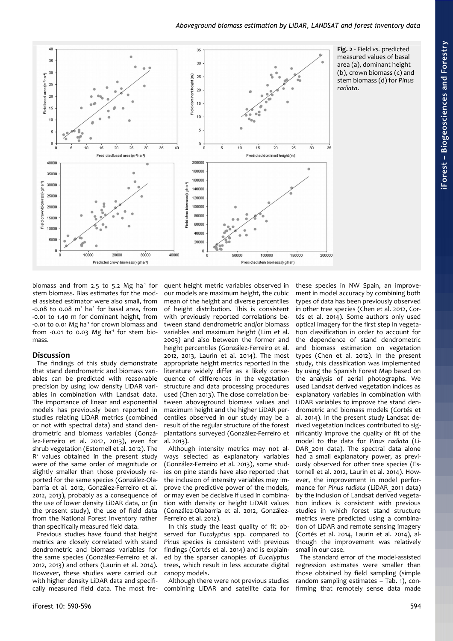

<span id="page-4-0"></span>**iForest – Bio geoscie nces a nd Forestry**

biomass and from 2.5 to 5.2 Mg ha<sup>1</sup> for stem biomass. Bias estimates for the model assisted estimator were also small, from  $-0.08$  to 0.08 m<sup>2</sup> ha<sup>1</sup> for basal area, from -0.01 to 1.40 m for dominant height, from  $-0.01$  to 0.01 Mg ha $<sup>1</sup>$  for crown biomass and</sup> from -0.01 to  $0.03$  Mg ha<sup>-1</sup> for stem biomass.

## **Discussion**

The findings of this study demonstrate that stand dendrometric and biomass variables can be predicted with reasonable precision by using low density LiDAR variables in combination with Landsat data. The importance of linear and exponential models has previously been reported in studies relating LiDAR metrics (combined or not with spectral data) and stand dendrometric and biomass variables (González-Ferreiro et al. 2012, 2013), even for shrub vegetation (Estornell et al. 2012). The R<sup>2</sup> values obtained in the present study were of the same order of magnitude or slightly smaller than those previously reported for the same species (González-Olabarria et al. 2012, González-Ferreiro et al. 2012, 2013), probably as a consequence of the use of lower density LiDAR data, or (in the present study), the use of field data from the National Forest Inventory rather than specifically measured field data.

Previous studies have found that height metrics are closely correlated with stand dendrometric and biomass variables for the same species (González-Ferreiro et al. 2012, 2013) and others (Laurin et al. 2014). However, these studies were carried out with higher density LiDAR data and specifically measured field data. The most frequent height metric variables observed in our models are maximum height, the cubic mean of the height and diverse percentiles of height distribution. This is consistent with previously reported correlations between stand dendrometric and/or biomass variables and maximum height (Lim et al. 2003) and also between the former and height percentiles (González-Ferreiro et al. 2012, 2013, Laurin et al. 2014). The most appropriate height metrics reported in the literature widely differ as a likely consequence of differences in the vegetation structure and data processing procedures used (Chen 2013). The close correlation between aboveground biomass values and maximum height and the higher LiDAR percentiles observed in our study may be a result of the regular structure of the forest plantations surveyed (González-Ferreiro et al. 2013).

Although intensity metrics may not always selected as explanatory variables (González-Ferreiro et al. 2013), some studies on pine stands have also reported that the inclusion of intensity variables may improve the predictive power of the models, or may even be decisive if used in combination with density or height LiDAR values (González-Olabarria et al. 2012, González-Ferreiro et al. 2012).

In this study the least quality of fit observed for *Eucalyptus* spp. compared to *Pinus* species is consistent with previous findings (Cortés et al. 2014) and is explained by the sparser canopies of *Eucalyptus* trees, which result in less accurate digital canopy models.

Although there were not previous studies combining LiDAR and satellite data for

these species in NW Spain, an improvement in model accuracy by combining both types of data has been previously observed in other tree species (Chen et al. 2012, Cortés et al. 2014). Some authors only used optical imagery for the first step in vegetation classification in order to account for the dependence of stand dendrometric and biomass estimation on vegetation types (Chen et al. 2012). In the present study, this classification was implemented by using the Spanish Forest Map based on the analysis of aerial photographs. We used Landsat derived vegetation indices as explanatory variables in combination with LiDAR variables to improve the stand dendrometric and biomass models (Cortés et al. 2014). In the present study Landsat derived vegetation indices contributed to significantly improve the quality of fit of the model to the data for *Pinus radiata* (Li-DAR 2011 data). The spectral data alone had a small explanatory power, as previously observed for other tree species (Estornell et al. 2012, Laurin et al. 2014). However, the improvement in model performance for *Pinus radiata* (LiDAR\_2011 data) by the inclusion of Landsat derived vegetation indices is consistent with previous studies in which forest stand structure metrics were predicted using a combination of LiDAR and remote sensing imagery (Cortés et al. 2014, Laurin et al. 2014), although the improvement was relatively small in our case.

The standard error of the model-assisted regression estimates were smaller than those obtained by field sampling (simple random sampling estimates – [Tab. 1\)](#page-1-1), confirming that remotely sense data made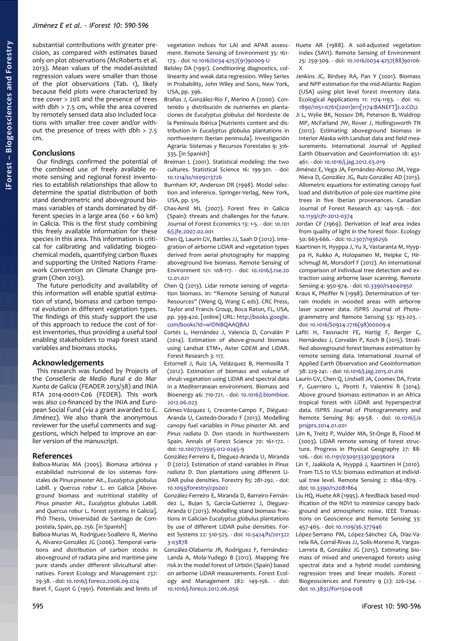substantial contributions with greater precision, as compared with estimates based only on plot observations (McRoberts et al. 2013). Mean values of the model-assisted regression values were smaller than those of the plot observations [\(Tab. 1\)](#page-1-1), likely because field plots were characterized by tree cover > 20% and the presence of trees with dbh > 7.5 cm, while the area covered by remotely sensed data also included locations with smaller tree cover and/or without the presence of trees with dbh > 7.5 cm.

## **Conclusions**

Our findings confirmed the potential of the combined use of freely available remote sensing and regional forest inventories to establish relationships that allow to determine the spatial distribution of both stand dendrometric and aboveground biomass variables of stands dominated by different species in a large area (60 × 60 km) in Galicia. This is the first study combining this freely available information for these species in this area. This information is critical for calibrating and validating biogeochemical models, quantifying carbon fluxes and supporting the United Nations Framework Convention on Climate Change program (Chen 2013).

The future periodicity and availability of this information will enable spatial estimation of stand, biomass and carbon temporal evolution in different vegetation types. The findings of this study support the use of this approach to reduce the cost of forest inventories, thus providing a useful tool enabling stakeholders to map forest stand variables and biomass stocks.

## **Acknowledgements**

This research was funded by Projects of the *Conselleria de Medio Rural e do Mar Xunta de Galicia* (FEADER 2013/38) and INIA RTA 2014-00011-C06 (FEDER). This work was also co-financed by the INIA and European Social Fund (*via* a grant awarded to E. Jiménez). We also thank the anonymous reviewer for the useful comments and suggestions, which helped to improve an earlier version of the manuscript.

#### **References**

- Balboa-Murias MA (2005). Biomasa arbórea y estabilidad nutricional de los sistemas forestales de *Pinus pinaster* Ait., *Eucalyptus globulus* Labill. y *Quercus robur* L. en Galicia [Aboveground biomass and nutritional stability of *Pinus pinaster* Ait., *Eucalyptus globulus* Labill. and *Quercus robur* L. forest systems in Galicia]. PhD Thesis, Universidad de Santiago de Compostela, Spain, pp. 256. [in Spanish]
- Balboa-Murias M, Rodríguez-Soalleiro R, Merino A, Alvarez-González JG (2006). Temporal variations and distribution of carbon stocks in aboveground of radiata pine and maritime pine pure stands under different silvicultural alternatives. Forest Ecology and Management 237: 29-38. - doi: [10.1016/j.foreco.2006.09.024](http://dx.doi.org/10.1016/j.foreco.2006.09.024)

Baret F, Guyot G (1991). Potentials and limits of

vegetation indices for LAI and APAR assessment. Remote Sensing of Environment 35: 161- 173. - doi: [10.1016/0034-4257\(91\)90009-U](http://dx.doi.org/10.1016/0034-4257(91)90009-U)

- Belsley DA (1991). Conditioning diagnostics, collinearity and weak data regression. Wiley Series in Probability, John Wiley and Sons, New York, USA, pp. 396.
- Brañas J, González-Río F, Merino A (2000). Contenido y distribución de nutrientes en plantaciones de *Eucalyptus globulus* del Nordeste de la Península Ibérica [Nutrients content and distribution in *Eucalyptus globulus* plantations in northwestern Iberian peninsula]. Investigación Agraria: Sistemas y Recursos Forestales 9: 316- 335. [in Spanish]
- Breiman L (2001). Statistical modeling: the two cultures. Statistical Science 16: 199-301. - doi: [10.1214/ss/1009213726](http://dx.doi.org/10.1214/ss/1009213726)
- Burnham KP, Anderson DR (1998). Model selection and inference. Springer-Verlag, New York, USA, pp. 515.
- Chas-Amil ML (2007). Forest fires in Galicia (Spain): threats and challenges for the future. Journal of Forest Economics 13: 1-5. - doi: [10.101](http://dx.doi.org/10.1016/j.jfe.2007.02.001) [6/j.jfe.2007.02.001](http://dx.doi.org/10.1016/j.jfe.2007.02.001)
- Chen Q, Laurin GV, Battles JJ, Saah D (2012). Integration of airborne LiDAR and vegetation types derived from aerial photography for mapping aboveground live biomass. Remote Sensing of Environment 121: 108-117. - doi: [10.1016/j.rse.20](http://dx.doi.org/10.1016/j.rse.2012.01.021) [12.01.021](http://dx.doi.org/10.1016/j.rse.2012.01.021)
- Chen Q (2013). Lidar remote sensing of vegetation biomass. In: "Remote Sensing of Natural Resources" (Weng Q, Wang G eds). CRC Press, Taylor and Francis Group, Boca Raton, FL, USA, pp. 399-420. [online] URL: [http://books.google.](http://books.google.com/books?id=wIDNBQAAQBAJ) [com/books?id=wIDNBQAAQBAJ](http://books.google.com/books?id=wIDNBQAAQBAJ)
- Cortés L, Hernández J, Valencia D, Corvalán P (2014). Estimation of above-ground biomass using Landsat ETM+, Aster GDEM and LiDAR. Forest Research 3: 117.
- Estornell J, Ruiz LA, Velázquez B, Hermosilla T (2012). Estimation of biomass and volume of shrub vegetation using LiDAR and spectral data in a Mediterranean environment. Biomass and Bioenergy 46: 710-721. - doi: [10.1016/j.biombioe.](http://dx.doi.org/10.1016/j.biombioe.2012.06.023) [2012.06.023](http://dx.doi.org/10.1016/j.biombioe.2012.06.023)
- Gómez-Vázquez I, Crecente-Campo F, Diéguez-Aranda U, Castedo-Dorado F (2013). Modelling canopy fuel variables in *Pinus pinaster* Ait. and *Pinus radiata* D. Don stands in Northwestern Spain. Annals of Forest Science 70: 161-172. doi: [10.1007/s13595-012-0245-9](http://dx.doi.org/10.1007/s13595-012-0245-9)
- González-Ferreiro E, Dieguez-Aranda U, Miranda D (2012). Estimation of stand variables in *Pinus radiata* D. Don plantations using different Li-DAR pulse densities. Forestry 85: 281-292. - doi: [10.1093/forestry/cps002](http://dx.doi.org/10.1093/forestry/cps002)
- González-Ferreiro E, Miranda D, Barreiro-Fernández L, Bujan S, García-Gutierrez J, Dieguez-Aranda U (2013). Modelling stand biomass fractions in Galician *Eucalyptus globulus* plantations by use of different LiDAR pulse densities. Forest Systems 22: 510-525. - doi: [10.5424/fs/201322](http://dx.doi.org/10.5424/fs/2013223-03878) [3-03878](http://dx.doi.org/10.5424/fs/2013223-03878)
- González-Olabarria JR, Rodríguez F, Fernández-Landa A, Mola-Yudego B (2012). Mapping fire risk in the model forest of Urbión (Spain) based on airborne LiDAR measurements. Forest Ecology and Management 282: 149-156. - doi: [10.1016/j.foreco.2012.06.056](http://dx.doi.org/10.1016/j.foreco.2012.06.056)
- Huete AR (1988). A soil-adjusted vegetation index (SAVI). Remote Sensing of Environment 25: 259-309. - doi: [10.1016/0034-4257\(88\)90106-](http://dx.doi.org/10.1016/0034-4257(88)90106-X) [X](http://dx.doi.org/10.1016/0034-4257(88)90106-X)
- Jenkins JC, Birdsey RA, Pan Y (2001). Biomass and NPP estimation for the mid-Atlantic Region (USA) using plot level forest inventory data. Ecological Applications 11: 1174-1193. - doi: [10.](http://dx.doi.org/10.1890/1051-0761(2001)011%5B1174:BANEFT%5D2.0.CO;2) [1890/1051-0761\(2001\)011\[1174:BANEFT\]2.0.CO;2](http://dx.doi.org/10.1890/1051-0761(2001)011%5B1174:BANEFT%5D2.0.CO;2)
- Ji L, Wylie BK, Nossov DR, Peterson B, Waldrop MP, McFarland JW, Rover J, Hollingsworth TN (2012). Estimating aboveground biomass in interior Alaska with Landsat data and field measurements. International Journal of Applied Earth Observation and Geoinformation 18: 451- 461. - doi: [10.1016/j.jag.2012.03.019](http://dx.doi.org/10.1016/j.jag.2012.03.019)
- Jiménez E, Vega JA, Fernández-Alonso JM, Vega-Nieva D, González JG, Ruiz-González AD (2013). Allometric equations for estimating canopy fuel load and distribution of pole-size maritime pine trees in five Iberian provenances. Canadian Journal of Forest Research 43: 149-158. - doi: [10.1139/cjfr-2012-0374](http://dx.doi.org/10.1139/cjfr-2012-0374)
- Jordan CF (1969). Derivation of leaf area index from quality of light in the forest floor. Ecology 50: 663-666. - doi: [10.2307/1936256](http://dx.doi.org/10.2307/1936256)
- Kaartinen H, Hyyppa J, Yu X, Vastaranta M, Hyyppa H, Kukko A, Holopainen M, Heipke C, Hirschmugl M, Morsdorf F (2012). An international comparison of individual tree detection and extraction using airborne laser scanning. Remote Sensing 4: 950-974. - doi: [10.3390/rs4040950](http://dx.doi.org/10.3390/rs4040950)
- Kraus K, Pfeiffer N (1998). Determination of terrain models in wooded areas with airborne laser scanner data. ISPRS Journal of Photogrammetry and Remote Sensing 53: 193-203. doi: [10.1016/S0924-2716\(98\)00009-4](http://dx.doi.org/10.1016/S0924-2716(98)00009-4)
- Lafiti H, Fassnacht FE, Hartig F, Berger C, Hernández J, Corvalán P, Koch B (2015). Stratified aboveground forest biomass estimation by remote sensing data. International Journal of Applied Earth Observation and Geoinformation 38: 229-241. - doi: [10.1016/j.jag.2015.01.016](http://dx.doi.org/10.1016/j.jag.2015.01.016)
- Laurin GV, Chen Q, Lindsell JA, Coomes DA, Frate F, Guerriero L, Pirotti F, Valentini R (2014). Above ground biomass estimation in an Africa tropical forest with LiDAR and hyperspectral data. ISPRS Journal of Photogrammetry and Remote Sensing 89: 49-58. - doi: [10.1016/j.is](http://dx.doi.org/10.1016/j.isprsjprs.2014.01.001) [prsjprs.2014.01.001](http://dx.doi.org/10.1016/j.isprsjprs.2014.01.001)
- Lim K, Treitz P, Wulder MA, St-Onge B, Flood M (2003). LiDAR remote sensing of forest structure. Progress in Physical Geography 27: 88- 106. - doi: [10.1191/0309133303pp360ra](http://dx.doi.org/10.1191/0309133303pp360ra)
- Lin Y, Jaakkola A, Hyyppä J, Kaartinen H (2010). From TLS to VLS: biomass estimation at individual tree level. Remote Sensing 2: 1864-1879. doi: [10.3390/rs2081864](http://dx.doi.org/10.3390/rs2081864)
- Liu HQ, Huete AR (1995). A feedback based modification of the NDVI to minimize canopy background and atmospheric noise. IEEE Transactions on Geoscience and Remote Sensing 33: 457-465. - doi: [10.1109/36.377946](http://dx.doi.org/10.1109/36.377946)
- López-Serrano PM, López-Sánchez CA, Díaz-Varela RA, Corral-Rivas JJ, Solís-Moreno R, Vargas-Larreta B, González JG (2015). Estimating biomass of mixed and unevenaged forests using spectral data and a hybrid model combining regression trees and linear models. iForest - Biogeosciences and Forestry 9 (2): 226-234. doi: [10.3832/ifor1504-008](http://dx.doi.org/10.3832/ifor1504-008)